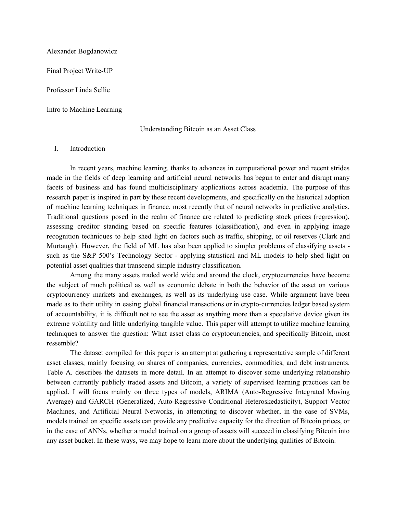Alexander Bogdanowicz

Final Project Write-UP

Professor Linda Sellie

Intro to Machine Learning

#### Understanding Bitcoin as an Asset Class

## I. Introduction

In recent years, machine learning, thanks to advances in computational power and recent strides made in the fields of deep learning and artificial neural networks has begun to enter and disrupt many facets of business and has found multidisciplinary applications across academia. The purpose of this research paper is inspired in part by these recent developments, and specifically on the historical adoption of machine learning techniques in finance, most recently that of neural networks in predictive analytics. Traditional questions posed in the realm of finance are related to predicting stock prices (regression), assessing creditor standing based on specific features (classification), and even in applying image recognition techniques to help shed light on factors such as traffic, shipping, or oil reserves (Clark and Murtaugh). However, the field of ML has also been applied to simpler problems of classifying assets such as the S&P 500's Technology Sector - applying statistical and ML models to help shed light on potential asset qualities that transcend simple industry classification.

Among the many assets traded world wide and around the clock, cryptocurrencies have become the subject of much political as well as economic debate in both the behavior of the asset on various cryptocurrency markets and exchanges, as well as its underlying use case. While argument have been made as to their utility in easing global financial transactions or in crypto-currencies ledger based system of accountability, it is difficult not to see the asset as anything more than a speculative device given its extreme volatility and little underlying tangible value. This paper will attempt to utilize machine learning techniques to answer the question: What asset class do cryptocurrencies, and specifically Bitcoin, most ressemble?

The dataset compiled for this paper is an attempt at gathering a representative sample of different asset classes, mainly focusing on shares of companies, currencies, commodities, and debt instruments. Table A. describes the datasets in more detail. In an attempt to discover some underlying relationship between currently publicly traded assets and Bitcoin, a variety of supervised learning practices can be applied. I will focus mainly on three types of models, ARIMA (Auto-Regressive Integrated Moving Average) and GARCH (Generalized, Auto-Regressive Conditional Heteroskedasticity), Support Vector Machines, and Artificial Neural Networks, in attempting to discover whether, in the case of SVMs, models trained on specific assets can provide any predictive capacity for the direction of Bitcoin prices, or in the case of ANNs, whether a model trained on a group of assets will succeed in classifying Bitcoin into any asset bucket. In these ways, we may hope to learn more about the underlying qualities of Bitcoin.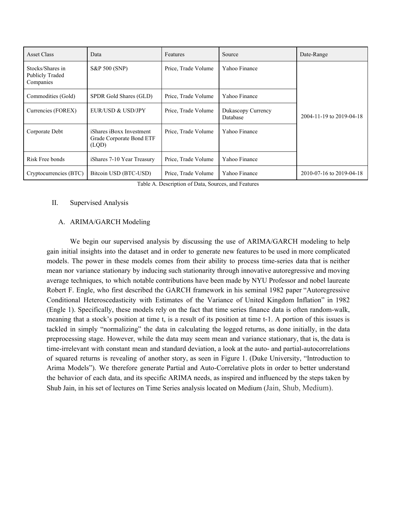| Asset Class                                             | Data                                                          | Features            | Source                         | Date-Range               |
|---------------------------------------------------------|---------------------------------------------------------------|---------------------|--------------------------------|--------------------------|
| Stocks/Shares in<br><b>Publicly Traded</b><br>Companies | S&P 500 (SNP)                                                 | Price, Trade Volume | Yahoo Finance                  |                          |
| Commodities (Gold)                                      | SPDR Gold Shares (GLD)                                        | Price, Trade Volume | Yahoo Finance                  |                          |
| Currencies (FOREX)                                      | EUR/USD & USD/JPY                                             | Price, Trade Volume | Dukascopy Currency<br>Database | 2004-11-19 to 2019-04-18 |
| Corporate Debt                                          | iShares iBoxx Investment<br>Grade Corporate Bond ETF<br>(LQD) | Price, Trade Volume | Yahoo Finance                  |                          |
| Risk Free bonds                                         | iShares 7-10 Year Treasury                                    | Price, Trade Volume | Yahoo Finance                  |                          |
| Cryptocurrencies (BTC)                                  | Bitcoin USD (BTC-USD)                                         | Price, Trade Volume | Yahoo Finance                  | 2010-07-16 to 2019-04-18 |

Table A. Description of Data, Sources, and Features

### II. Supervised Analysis

## A. ARIMA/GARCH Modeling

We begin our supervised analysis by discussing the use of ARIMA/GARCH modeling to help gain initial insights into the dataset and in order to generate new features to be used in more complicated models. The power in these models comes from their ability to process time-series data that is neither mean nor variance stationary by inducing such stationarity through innovative autoregressive and moving average techniques, to which notable contributions have been made by NYU Professor and nobel laureate Robert F. Engle, who first described the GARCH framework in his seminal 1982 paper "Autoregressive Conditional Heteroscedasticity with Estimates of the Variance of United Kingdom Inflation" in 1982 (Engle 1). Specifically, these models rely on the fact that time series finance data is often random-walk, meaning that a stock's position at time t, is a result of its position at time t-1. A portion of this issues is tackled in simply "normalizing" the data in calculating the logged returns, as done initially, in the data preprocessing stage. However, while the data may seem mean and variance stationary, that is, the data is time-irrelevant with constant mean and standard deviation, a look at the auto- and partial-autocorrelations of squared returns is revealing of another story, as seen in Figure 1. (Duke University, "Introduction to Arima Models"). We therefore generate Partial and Auto-Correlative plots in order to better understand the behavior of each data, and its specific ARIMA needs, as inspired and influenced by the steps taken by Shub Jain, in his set of lectures on Time Series analysis located on Medium (Jain, Shub, Medium).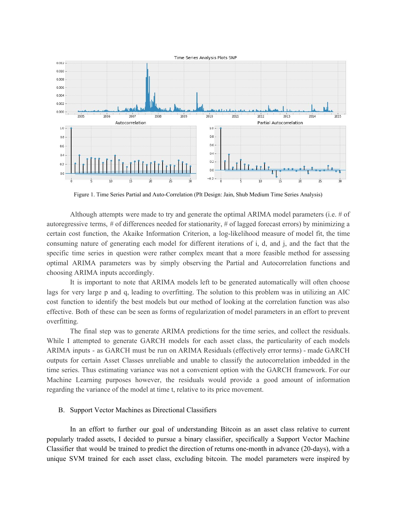

Figure 1. Time Series Partial and Auto-Correlation (Plt Design: Jain, Shub Medium Time Series Analysis)

Although attempts were made to try and generate the optimal ARIMA model parameters (i.e. # of autoregressive terms, # of differences needed for stationarity, # of lagged forecast errors) by minimizing a certain cost function, the Akaike Information Criterion, a log-likelihood measure of model fit, the time consuming nature of generating each model for different iterations of i, d, and j, and the fact that the specific time series in question were rather complex meant that a more feasible method for assessing optimal ARIMA parameters was by simply observing the Partial and Autocorrelation functions and choosing ARIMA inputs accordingly.

It is important to note that ARIMA models left to be generated automatically will often choose lags for very large p and q, leading to overfitting. The solution to this problem was in utilizing an AIC cost function to identify the best models but our method of looking at the correlation function was also effective. Both of these can be seen as forms of regularization of model parameters in an effort to prevent overfitting.

The final step was to generate ARIMA predictions for the time series, and collect the residuals. While I attempted to generate GARCH models for each asset class, the particularity of each models ARIMA inputs - as GARCH must be run on ARIMA Residuals (effectively error terms) - made GARCH outputs for certain Asset Classes unreliable and unable to classify the autocorrelation imbedded in the time series. Thus estimating variance was not a convenient option with the GARCH framework. For our Machine Learning purposes however, the residuals would provide a good amount of information regarding the variance of the model at time t, relative to its price movement.

### B. Support Vector Machines as Directional Classifiers

In an effort to further our goal of understanding Bitcoin as an asset class relative to current popularly traded assets, I decided to pursue a binary classifier, specifically a Support Vector Machine Classifier that would be trained to predict the direction of returns one-month in advance (20-days), with a unique SVM trained for each asset class, excluding bitcoin. The model parameters were inspired by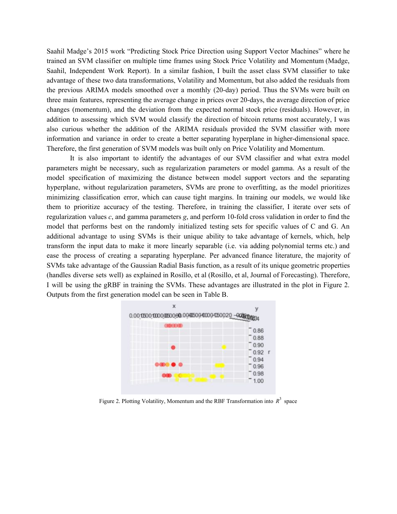Saahil Madge's 2015 work "Predicting Stock Price Direction using Support Vector Machines" where he trained an SVM classifier on multiple time frames using Stock Price Volatility and Momentum (Madge, Saahil, Independent Work Report). In a similar fashion, I built the asset class SVM classifier to take advantage of these two data transformations, Volatility and Momentum, but also added the residuals from the previous ARIMA models smoothed over a monthly (20-day) period. Thus the SVMs were built on three main features, representing the average change in prices over 20-days, the average direction of price changes (momentum), and the deviation from the expected normal stock price (residuals). However, in addition to assessing which SVM would classify the direction of bitcoin returns most accurately, I was also curious whether the addition of the ARIMA residuals provided the SVM classifier with more information and variance in order to create a better separating hyperplane in higher-dimensional space. Therefore, the first generation of SVM models was built only on Price Volatility and Momentum.

It is also important to identify the advantages of our SVM classifier and what extra model parameters might be necessary, such as regularization parameters or model gamma. As a result of the model specification of maximizing the distance between model support vectors and the separating hyperplane, without regularization parameters, SVMs are prone to overfitting, as the model prioritizes minimizing classification error, which can cause tight margins. In training our models, we would like them to prioritize accuracy of the testing. Therefore, in training the classifier, I iterate over sets of regularization values *c*, and gamma parameters *g*, and perform 10-fold cross validation in order to find the model that performs best on the randomly initialized testing sets for specific values of C and G. An additional advantage to using SVMs is their unique ability to take advantage of kernels, which, help transform the input data to make it more linearly separable (i.e. via adding polynomial terms etc.) and ease the process of creating a separating hyperplane. Per advanced finance literature, the majority of SVMs take advantage of the Gaussian Radial Basis function, as a result of its unique geometric properties (handles diverse sets well) as explained in Rosillo, et al (Rosillo, et al, Journal of Forecasting). Therefore, I will be using the gRBF in training the SVMs. These advantages are illustrated in the plot in Figure 2. Outputs from the first generation model can be seen in Table B.



Figure 2. Plotting Volatility, Momentum and the RBF Transformation into  $R^3$  space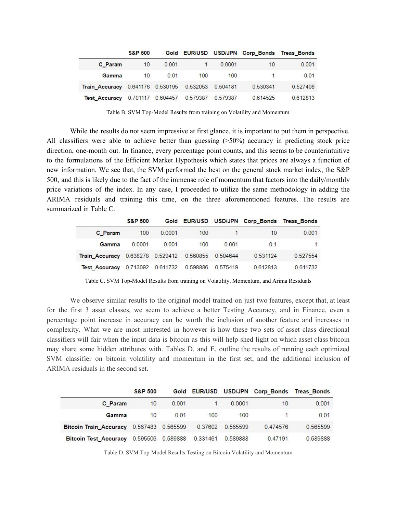|                       | <b>S&amp;P 500</b> |                   |                            |          |              | Gold EUR/USD USD/JPN Corp_Bonds Treas_Bonds |
|-----------------------|--------------------|-------------------|----------------------------|----------|--------------|---------------------------------------------|
| C Param               | 10 <sup>°</sup>    | 0.001             |                            | 0.0001   | 10           | 0.001                                       |
| Gamma                 | 10 <sup>1</sup>    | 0.01              | 100                        | 100      | <b>START</b> | 0.01                                        |
| <b>Train Accuracy</b> |                    |                   | 0.641176 0.530195 0.532053 | 0.504181 | 0.530341     | 0.527408                                    |
| <b>Test Accuracy</b>  |                    | 0.701117 0.604457 | 0.579387                   | 0.579387 | 0.614525     | 0.612813                                    |

Table B. SVM Top-Model Results from training on Volatility and Momentum

While the results do not seem impressive at first glance, it is important to put them in perspective. All classifiers were able to achieve better than guessing (>50%) accuracy in predicting stock price direction, one-month out. In finance, every percentage point counts, and this seems to be counterintuitive to the formulations of the Efficient Market Hypothesis which states that prices are always a function of new information. We see that, the SVM performed the best on the general stock market index, the S&P 500, and this is likely due to the fact of the immense role of momentum that factors into the daily/monthly price variations of the index. In any case, I proceeded to utilize the same methodology in adding the ARIMA residuals and training this time, on the three aforementioned features. The results are summarized in Table C.

|                                           | <b>S&amp;P 500</b> |        |                            |          | Gold EUR/USD USD/JPN Corp_Bonds Treas_Bonds |          |
|-------------------------------------------|--------------------|--------|----------------------------|----------|---------------------------------------------|----------|
| C Param                                   | 100                | 0.0001 | 100                        |          | 10                                          | 0.001    |
| Gamma                                     | 0.0001             | 0.001  | 100                        | 0.001    | 0.1                                         | 1        |
| Train_Accuracy 0.638278 0.529412 0.560855 |                    |        |                            | 0.504644 | 0.531124                                    | 0.527554 |
| <b>Test Accuracy</b>                      |                    |        | 0.713092 0.611732 0.598886 | 0.575419 | 0.612813                                    | 0.611732 |

Table C. SVM Top-Model Results from training on Volatility, Momentum, and Arima Residuals

We observe similar results to the original model trained on just two features, except that, at least for the first 3 asset classes, we seem to achieve a better Testing Accuracy, and in Finance, even a percentage point increase in accuracy can be worth the inclusion of another feature and increases in complexity. What we are most interested in however is how these two sets of asset class directional classifiers will fair when the input data is bitcoin as this will help shed light on which asset class bitcoin may share some hidden attributes with. Tables D. and E. outline the results of running each optimized SVM classifier on bitcoin volatility and momentum in the first set, and the additional inclusion of ARIMA residuals in the second set.

|                                          | <b>S&amp;P 500</b> |                   |          |          | Gold EUR/USD USD/JPN Corp_Bonds | <b>Treas Bonds</b> |
|------------------------------------------|--------------------|-------------------|----------|----------|---------------------------------|--------------------|
| C Param                                  | 10 <sup>10</sup>   | 0.001             |          | 0.0001   | 10                              | 0.001              |
| Gamma                                    | $10^{\circ}$       | 0.01              | 100      | 100      |                                 | 0.01               |
| Bitcoin Train Accuracy 0.567483 0.565599 |                    |                   | 0.37602  | 0.565599 | 0.474576                        | 0.565599           |
| <b>Bitcoin Test Accuracy</b>             |                    | 0.595506 0.589888 | 0.331461 | 0.589888 | 047191                          | 0.589888           |

Table D. SVM Top-Model Results Testing on Bitcoin Volatility and Momentum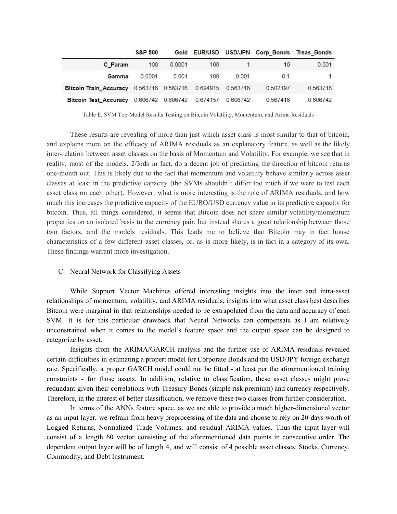|                               | <b>S&amp;P 500</b> |        |                                        |          |          | Gold EUR/USD USD/JPN Corp_Bonds Treas_Bonds |
|-------------------------------|--------------------|--------|----------------------------------------|----------|----------|---------------------------------------------|
| C Param                       | 100                | 0.0001 | 100                                    |          | 10       | 0.001                                       |
| Gamma                         | 0.0001             | 0.001  | 100                                    | 0.001    | 0.1      |                                             |
| <b>Bitcoin Train Accuracy</b> |                    |        | 0.563716  0.563716  0.694915  0.563716 |          | 0.502197 | 0.563716                                    |
| <b>Bitcoin Test Accuracy</b>  |                    |        | 0.606742 0.606742 0.674157             | 0.606742 | 0.567416 | 0.606742                                    |

Table E. SVM Top-Model Results Testing on Bitcoin Volatility, Momentum, and Arima Residuals

These results are revealing of more than just which asset class is most similar to that of bitcoin, and explains more on the efficacy of ARIMA residuals as an explanatory feature, as well as the likely inter-relation between asset classes on the basis of Momentum and Volatility. For example, we see that in reality, most of the models, 2/3rds in fact, do a decent job of predicting the direction of bitcoin returns one-month out. This is likely due to the fact that momentum and volatility behave similarly across asset classes at least in the predictive capacity (the SVMs shouldn't differ too much if we were to test each asset class on each other). However, what is more interesting is the role of ARIMA residuals, and how much this increases the predictive capacity of the EURO/USD currency value in its predictive capacity for bitcoin. Thus, all things considered, it seems that Bitcoin does not share similar volatility/momentum properties on an isolated basis to the currency pair, but instead shares a great relationship between those two factors, and the models residuals. This leads me to believe that Bitcoin may in fact house characteristics of a few different asset classes, or, as is more likely, is in fact in a category of its own. These findings warrant more investigation.

#### C. Neural Network for Classifying Assets

While Support Vector Machines offered interesting insights into the inter and intra-asset relationships of momentum, volatility, and ARIMA residuals, insights into what asset class best describes Bitcoin were marginal in that relationships needed to be extrapolated from the data and accuracy of each SVM. It is for this particular drawback that Neural Networks can compensate as I am relatively unconstrained when it comes to the model's feature space and the output space can be designed to categorize by asset.

Insights from the ARIMA/GARCH analysis and the further use of ARIMA residuals revealed certain difficulties in estimating a propert model for Corporate Bonds and the USD/JPY foreign exchange rate. Specifically, a proper GARCH model could not be fitted - at least per the aforementioned training constraints - for those assets. In addition, relative to classification, these asset classes might prove redundant given their correlations with Treasury Bonds (simple risk premium) and currency respectively. Therefore, in the interest of better classification, we remove these two classes from further consideration.

In terms of the ANNs feature space, as we are able to provide a much higher-dimensional vector as an input layer, we refrain from heavy preprocessing of the data and choose to rely on 20-days worth of Logged Returns, Normalized Trade Volumes, and residual ARIMA values. Thus the input layer will consist of a length 60 vector consisting of the aforementioned data points in consecutive order. The dependent output layer will be of length 4, and will consist of 4 possible asset classes: Stocks, Currency, Commodity, and Debt Instrument.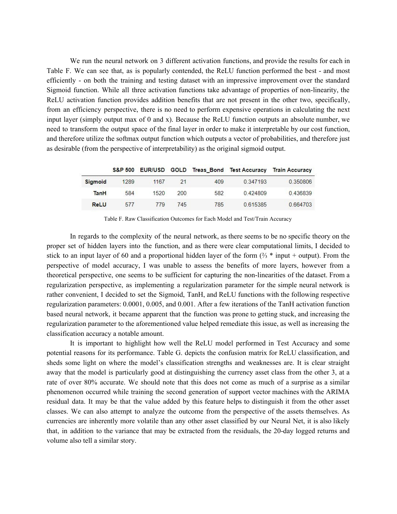We run the neural network on 3 different activation functions, and provide the results for each in Table F. We can see that, as is popularly contended, the ReLU function performed the best - and most efficiently - on both the training and testing dataset with an impressive improvement over the standard Sigmoid function. While all three activation functions take advantage of properties of non-linearity, the ReLU activation function provides addition benefits that are not present in the other two, specifically, from an efficiency perspective, there is no need to perform expensive operations in calculating the next input layer (simply output max of 0 and x). Because the ReLU function outputs an absolute number, we need to transform the output space of the final layer in order to make it interpretable by our cost function, and therefore utilize the softmax output function which outputs a vector of probabilities, and therefore just as desirable (from the perspective of interpretability) as the original sigmoid output.

|                |      |      |     |     |          | S&P 500 EUR/USD GOLD Treas Bond Test Accuracy Train Accuracy |
|----------------|------|------|-----|-----|----------|--------------------------------------------------------------|
| <b>Sigmoid</b> | 1289 | 1167 | 21  | 409 | 0.347193 | 0.350806                                                     |
| <b>TanH</b>    | 584  | 1520 | 200 | 582 | 0.424809 | 0.436839                                                     |
| <b>ReLU</b>    | 577  | 779  | 745 | 785 | 0.615385 | 0.664703                                                     |

Table F. Raw Classification Outcomes for Each Model and Test/Train Accuracy

In regards to the complexity of the neural network, as there seems to be no specific theory on the proper set of hidden layers into the function, and as there were clear computational limits, I decided to stick to an input layer of 60 and a proportional hidden layer of the form  $(\frac{2}{3} * \text{ input} + \text{output})$ . From the perspective of model accuracy, I was unable to assess the benefits of more layers, however from a theoretical perspective, one seems to be sufficient for capturing the non-linearities of the dataset. From a regularization perspective, as implementing a regularization parameter for the simple neural network is rather convenient, I decided to set the Sigmoid, TanH, and ReLU functions with the following respective regularization parameters: 0.0001, 0.005, and 0.001. After a few iterations of the TanH activation function based neural network, it became apparent that the function was prone to getting stuck, and increasing the regularization parameter to the aforementioned value helped remediate this issue, as well as increasing the classification accuracy a notable amount.

It is important to highlight how well the ReLU model performed in Test Accuracy and some potential reasons for its performance. Table G. depicts the confusion matrix for ReLU classification, and sheds some light on where the model's classification strengths and weaknesses are. It is clear straight away that the model is particularly good at distinguishing the currency asset class from the other 3, at a rate of over 80% accurate. We should note that this does not come as much of a surprise as a similar phenomenon occurred while training the second generation of support vector machines with the ARIMA residual data. It may be that the value added by this feature helps to distinguish it from the other asset classes. We can also attempt to analyze the outcome from the perspective of the assets themselves. As currencies are inherently more volatile than any other asset classified by our Neural Net, it is also likely that, in addition to the variance that may be extracted from the residuals, the 20-day logged returns and volume also tell a similar story.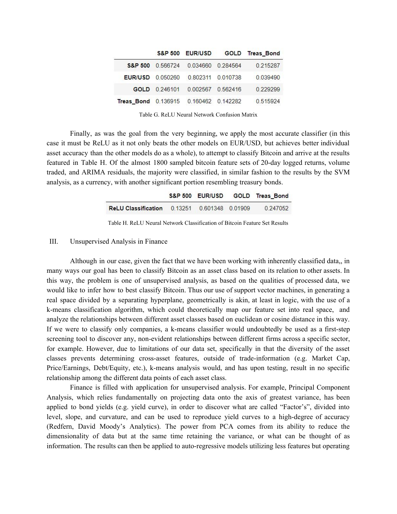|                                       |               |                            |                   | S&P 500 EUR/USD GOLD Treas Bond |
|---------------------------------------|---------------|----------------------------|-------------------|---------------------------------|
| <b>S&amp;P 500</b>                    |               | 0.566724 0.034660 0.284564 |                   | 0.215287                        |
| <b>EUR/USD</b> 0.050260               |               | 0.802311 0.010738          |                   | 0.039490                        |
|                                       | GOLD 0.246101 |                            | 0.002567 0.562416 | 0.229299                        |
| Treas_Bond 0.136915 0.160462 0.142282 |               |                            |                   | 0.515924                        |

Table G. ReLU Neural Network Confusion Matrix

Finally, as was the goal from the very beginning, we apply the most accurate classifier (in this case it must be ReLU as it not only beats the other models on EUR/USD, but achieves better individual asset accuracy than the other models do as a whole), to attempt to classify Bitcoin and arrive at the results featured in Table H. Of the almost 1800 sampled bitcoin feature sets of 20-day logged returns, volume traded, and ARIMA residuals, the majority were classified, in similar fashion to the results by the SVM analysis, as a currency, with another significant portion resembling treasury bonds.

|                                                     |  | S&P 500 EUR/USD GOLD Treas_Bond |
|-----------------------------------------------------|--|---------------------------------|
| <b>ReLU Classification 0.13251 0.601348 0.01909</b> |  | 0.247052                        |

Table H. ReLU Neural Network Classification of Bitcoin Feature Set Results

#### III. Unsupervised Analysis in Finance

Although in our case, given the fact that we have been working with inherently classified data,, in many ways our goal has been to classify Bitcoin as an asset class based on its relation to other assets. In this way, the problem is one of unsupervised analysis, as based on the qualities of processed data, we would like to infer how to best classify Bitcoin. Thus our use of support vector machines, in generating a real space divided by a separating hyperplane, geometrically is akin, at least in logic, with the use of a k-means classification algorithm, which could theoretically map our feature set into real space, and analyze the relationships between different asset classes based on euclidean or cosine distance in this way. If we were to classify only companies, a k-means classifier would undoubtedly be used as a first-step screening tool to discover any, non-evident relationships between different firms across a specific sector, for example. However, due to limitations of our data set, specifically in that the diversity of the asset classes prevents determining cross-asset features, outside of trade-information (e.g. Market Cap, Price/Earnings, Debt/Equity, etc.), k-means analysis would, and has upon testing, result in no specific relationship among the different data points of each asset class.

Finance is filled with application for unsupervised analysis. For example, Principal Component Analysis, which relies fundamentally on projecting data onto the axis of greatest variance, has been applied to bond yields (e.g. yield curve), in order to discover what are called "Factor's", divided into level, slope, and curvature, and can be used to reproduce yield curves to a high-degree of accuracy (Redfern, David Moody's Analytics). The power from PCA comes from its ability to reduce the dimensionality of data but at the same time retaining the variance, or what can be thought of as information. The results can then be applied to auto-regressive models utilizing less features but operating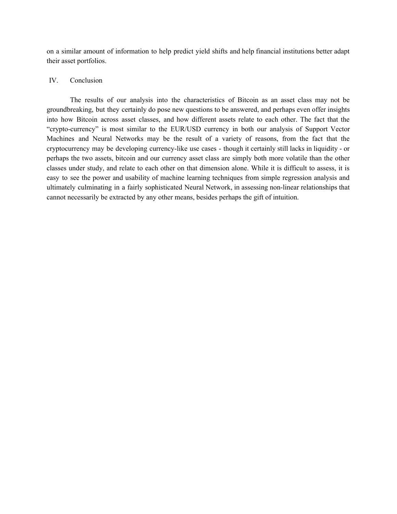on a similar amount of information to help predict yield shifts and help financial institutions better adapt their asset portfolios.

# IV. Conclusion

The results of our analysis into the characteristics of Bitcoin as an asset class may not be groundbreaking, but they certainly do pose new questions to be answered, and perhaps even offer insights into how Bitcoin across asset classes, and how different assets relate to each other. The fact that the "crypto-currency" is most similar to the EUR/USD currency in both our analysis of Support Vector Machines and Neural Networks may be the result of a variety of reasons, from the fact that the cryptocurrency may be developing currency-like use cases - though it certainly still lacks in liquidity - or perhaps the two assets, bitcoin and our currency asset class are simply both more volatile than the other classes under study, and relate to each other on that dimension alone. While it is difficult to assess, it is easy to see the power and usability of machine learning techniques from simple regression analysis and ultimately culminating in a fairly sophisticated Neural Network, in assessing non-linear relationships that cannot necessarily be extracted by any other means, besides perhaps the gift of intuition.